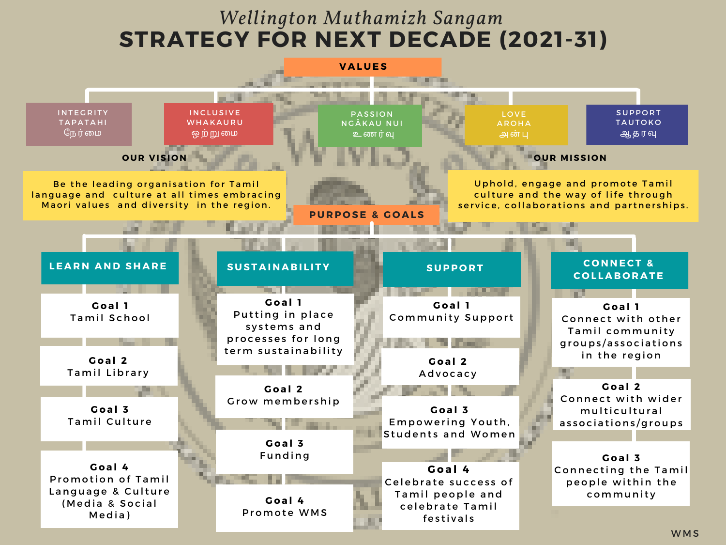## **STRATEGY FOR NEXT DECADE (2021-31)** *Wellington Muthamizh Sangam*